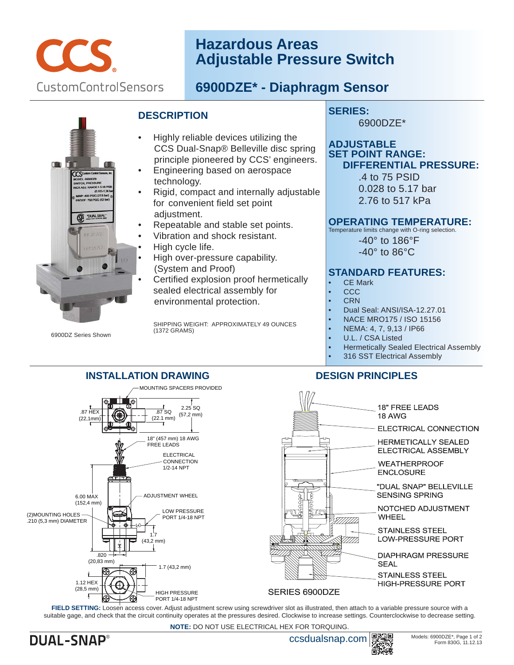

# **Hazardous Areas Adjustable Pressure Switch**

# **6900DZE\* - Diaphragm Sensor**



6900DZ Series Shown

### **DESCRIPTION**

- Highly reliable devices utilizing the CCS Dual-Snap® Belleville disc spring principle pioneered by CCS' engineers.
- Engineering based on aerospace technology.
- Rigid, compact and internally adjustable for convenient field set point adjustment.
- Repeatable and stable set points.
- Vibration and shock resistant.
- High cycle life.

**INSTALLATION DRAWING**

- High over-pressure capability. (System and Proof)
- Certified explosion proof hermetically sealed electrical assembly for environmental protection.

 SHIPPING WEIGHT: APPROXIMATELY 49 OUNCES (1372 GRAMS)

## **SERIES:**

6900DZE\*

#### **ADJUSTABLE SET POINT RANGE: DIFFERENTIAL PRESSURE:**

 .4 to 75 PSID 0.028 to 5.17 bar 2.76 to 517 kPa

#### **OPERATING TEMPERATURE:**

Temperature limits change with O-ring selection.

 -40° to 186°F -40° to 86°C

### **STANDARD FEATURES:**

- CE Mark
- CCC
- CRN
- Dual Seal: ANSI/ISA-12.27.01
- NACE MRO175 / ISO 15156
- NEMA: 4, 7, 9,13 / IP66
- U.L. / CSA Listed
- Hermetically Sealed Electrical Assembly
- 316 SST Electrical Assembly

## **DESIGN PRINCIPLES**



suitable gage, and check that the circuit continuity operates at the pressures desired. Clockwise to increase settings. Counterclockwise to decrease setting.

**NOTE:** DO NOT USE ELECTRICAL HEX FOR TORQUING.

**DUAL-SNAP®** 

ccsdualsnap.com